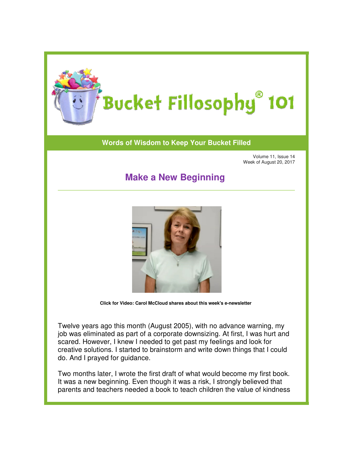

## **Words of Wisdom to Keep Your Bucket Filled of Wisdom to**

Volume 11, Issue 14 Week of August 20, 2017

## **Make a New Beginning**



**[Click for Video: Carol McCloud](https://www.youtube.com/watch?v=DxhENzVAtKw&t=3s) shares about this week's e e-newsletter** 

Twelve years ago this month (August 2005), with no advance warning, my Twelve years ago this month (August 2005), with no advance warning, my<br>job was eliminated as part of a corporate downsizing. At first, I was hurt and scared. However, I knew I needed to get past my feelings and look for scared. However, I knew I needed to get past my feelings and look for<br>creative solutions. I started to brainstorm and write down things that I could do. And I prayed for guidance.

do. And I prayed for guidance.<br>Two months later, I wrote the first draft of what would become my first book. It was a new beginning. Even though it was a risk, I strongly believed that parents and teachers needed a book to teach children the value of kindness